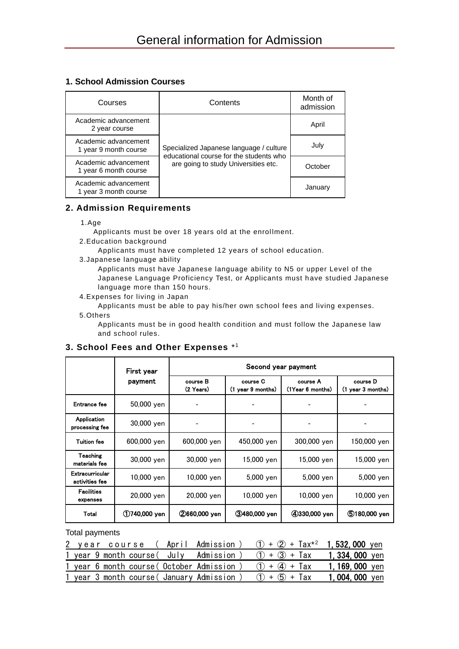# **1. School Admission Courses**

| Courses                                       | Contents                                                                           | Month of<br>admission |
|-----------------------------------------------|------------------------------------------------------------------------------------|-----------------------|
| Academic advancement<br>2 year course         |                                                                                    | April                 |
| Academic advancement<br>1 year 9 month course | Specialized Japanese language / culture<br>educational course for the students who | July                  |
| Academic advancement<br>1 year 6 month course | are going to study Universities etc.                                               | October               |
| Academic advancement<br>1 year 3 month course |                                                                                    | January               |

### **2. Admission Requirements**

1.Age

Applicants must be over 18 years old at the enrollment.

- 2.Education background
	- Applicants must have completed 12 years of school education.
- 3.Japanese language ability
	- Applicants must have Japanese language ability to N5 or upper Level of the Japanese Language Proficiency Test, or Applicants must have studied Japanese language more than 150 hours.
- 4.Expenses for living in Japan
- Applicants must be able to pay his/her own school fees and living expenses. 5.Others

Applicants must be in good health condition and must follow the Japanese law and school rules.

## **3. School Fees and Other Expenses** \* 1

|                                   | First year       | Second year payment   |                               |                              |                               |  |
|-----------------------------------|------------------|-----------------------|-------------------------------|------------------------------|-------------------------------|--|
|                                   | payment          | course B<br>(2 Years) | course C<br>(1 year 9 months) | course A<br>(1Year 6 months) | course D<br>(1 year 3 months) |  |
| Entrance fee                      | 50,000 yen       |                       |                               |                              |                               |  |
| Application<br>processing fee     | 30,000 yen       |                       |                               |                              |                               |  |
| <b>Tuition fee</b>                | 600,000 yen      | 600,000 yen           | 450,000 yen                   | 300,000 yen                  | 150,000 yen                   |  |
| Teaching<br>materials fee         | 30,000 yen       | 30,000 yen            | 15,000 yen                    | 15,000 yen                   | 15,000 yen                    |  |
| Extracurricular<br>activities fee | 10,000 yen       | 10,000 yen            | 5,000 yen                     | 5,000 yen                    | 5,000 yen                     |  |
| <b>Facilities</b><br>expenses     | 20,000 yen       | 20,000 yen            | 10,000 yen                    | 10,000 yen                   | 10,000 yen                    |  |
| Total                             | $(1)740,000$ yen | 2660,000 yen          | <b>3480,000 yen</b>           | 4330,000 yen                 | (5)180,000 yen                |  |

Total payments

|  |  | 2 year course (April Admission)           | $(1) + (2) + Tax^{2}$ 1, 532, 000 yen |                 |
|--|--|-------------------------------------------|---------------------------------------|-----------------|
|  |  | 1 year 9 month course ( July Admission )  | $(1) + (3) +$ Tax 1, 334, 000 yen     |                 |
|  |  | 1 year 6 month course (October Admission) | $(1) + (4) +$ Tax                     | 1, 169, 000 yen |
|  |  | 1 year 3 month course (January Admission) | $(1) + (5) +$ Tax                     | 1,004,000 yen   |